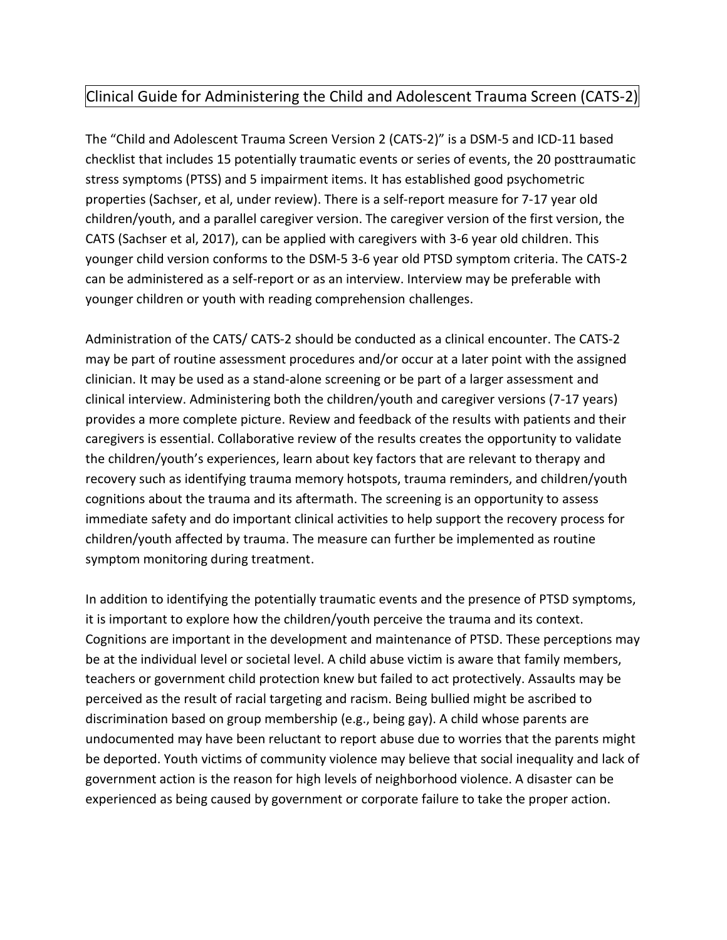# Clinical Guide for Administering the Child and Adolescent Trauma Screen (CATS-2)

The "Child and Adolescent Trauma Screen Version 2 (CATS-2)" is a DSM-5 and ICD-11 based checklist that includes 15 potentially traumatic events or series of events, the 20 posttraumatic stress symptoms (PTSS) and 5 impairment items. It has established good psychometric properties (Sachser, et al, under review). There is a self-report measure for 7-17 year old children/youth, and a parallel caregiver version. The caregiver version of the first version, the CATS (Sachser et al, 2017), can be applied with caregivers with 3-6 year old children. This younger child version conforms to the DSM-5 3-6 year old PTSD symptom criteria. The CATS-2 can be administered as a self-report or as an interview. Interview may be preferable with younger children or youth with reading comprehension challenges.

Administration of the CATS/ CATS-2 should be conducted as a clinical encounter. The CATS-2 may be part of routine assessment procedures and/or occur at a later point with the assigned clinician. It may be used as a stand-alone screening or be part of a larger assessment and clinical interview. Administering both the children/youth and caregiver versions (7-17 years) provides a more complete picture. Review and feedback of the results with patients and their caregivers is essential. Collaborative review of the results creates the opportunity to validate the children/youth's experiences, learn about key factors that are relevant to therapy and recovery such as identifying trauma memory hotspots, trauma reminders, and children/youth cognitions about the trauma and its aftermath. The screening is an opportunity to assess immediate safety and do important clinical activities to help support the recovery process for children/youth affected by trauma. The measure can further be implemented as routine symptom monitoring during treatment.

In addition to identifying the potentially traumatic events and the presence of PTSD symptoms, it is important to explore how the children/youth perceive the trauma and its context. Cognitions are important in the development and maintenance of PTSD. These perceptions may be at the individual level or societal level. A child abuse victim is aware that family members, teachers or government child protection knew but failed to act protectively. Assaults may be perceived as the result of racial targeting and racism. Being bullied might be ascribed to discrimination based on group membership (e.g., being gay). A child whose parents are undocumented may have been reluctant to report abuse due to worries that the parents might be deported. Youth victims of community violence may believe that social inequality and lack of government action is the reason for high levels of neighborhood violence. A disaster can be experienced as being caused by government or corporate failure to take the proper action.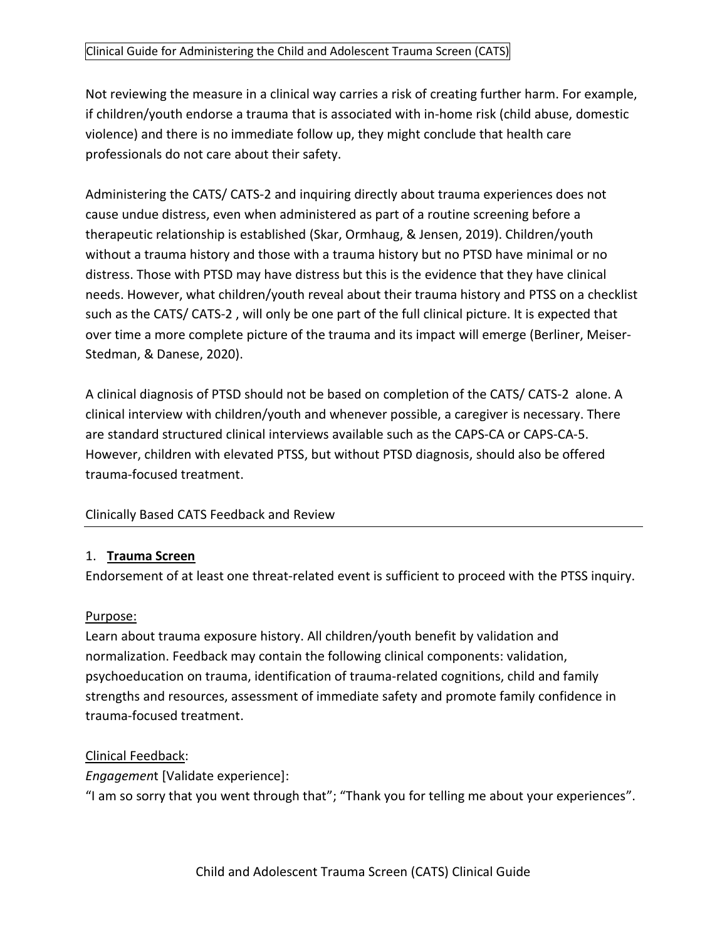#### Clinical Guide for Administering the Child and Adolescent Trauma Screen (CATS)

Not reviewing the measure in a clinical way carries a risk of creating further harm. For example, if children/youth endorse a trauma that is associated with in-home risk (child abuse, domestic violence) and there is no immediate follow up, they might conclude that health care professionals do not care about their safety.

Administering the CATS/ CATS-2 and inquiring directly about trauma experiences does not cause undue distress, even when administered as part of a routine screening before a therapeutic relationship is established (Skar, Ormhaug, & Jensen, 2019). Children/youth without a trauma history and those with a trauma history but no PTSD have minimal or no distress. Those with PTSD may have distress but this is the evidence that they have clinical needs. However, what children/youth reveal about their trauma history and PTSS on a checklist such as the CATS/ CATS-2 , will only be one part of the full clinical picture. It is expected that over time a more complete picture of the trauma and its impact will emerge (Berliner, Meiser-Stedman, & Danese, 2020).

A clinical diagnosis of PTSD should not be based on completion of the CATS/ CATS-2 alone. A clinical interview with children/youth and whenever possible, a caregiver is necessary. There are standard structured clinical interviews available such as the CAPS-CA or CAPS-CA-5. However, children with elevated PTSS, but without PTSD diagnosis, should also be offered trauma-focused treatment.

### Clinically Based CATS Feedback and Review

#### 1. **Trauma Screen**

Endorsement of at least one threat-related event is sufficient to proceed with the PTSS inquiry.

#### Purpose:

Learn about trauma exposure history. All children/youth benefit by validation and normalization. Feedback may contain the following clinical components: validation, psychoeducation on trauma, identification of trauma-related cognitions, child and family strengths and resources, assessment of immediate safety and promote family confidence in trauma-focused treatment.

### Clinical Feedback:

*Engagemen*t [Validate experience]:

"I am so sorry that you went through that"; "Thank you for telling me about your experiences".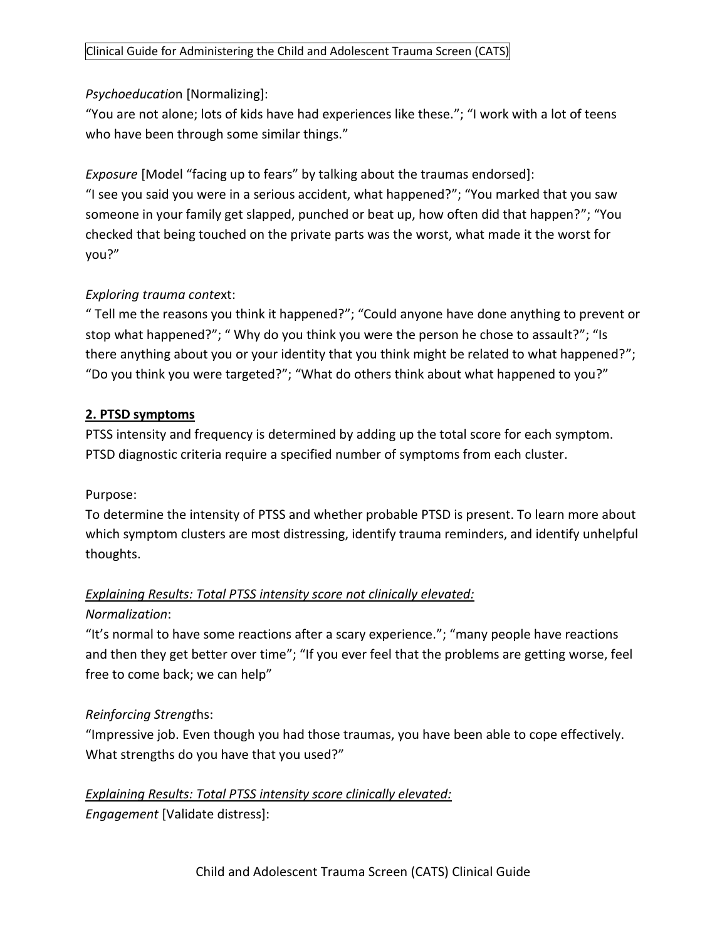### *Psychoeducatio*n [Normalizing]:

"You are not alone; lots of kids have had experiences like these."; "I work with a lot of teens who have been through some similar things."

*Exposure* [Model "facing up to fears" by talking about the traumas endorsed]: "I see you said you were in a serious accident, what happened?"; "You marked that you saw someone in your family get slapped, punched or beat up, how often did that happen?"; "You checked that being touched on the private parts was the worst, what made it the worst for you?"

### *Exploring trauma conte*xt:

" Tell me the reasons you think it happened?"; "Could anyone have done anything to prevent or stop what happened?"; " Why do you think you were the person he chose to assault?"; "Is there anything about you or your identity that you think might be related to what happened?"; "Do you think you were targeted?"; "What do others think about what happened to you?"

## **2. PTSD symptoms**

PTSS intensity and frequency is determined by adding up the total score for each symptom. PTSD diagnostic criteria require a specified number of symptoms from each cluster.

### Purpose:

To determine the intensity of PTSS and whether probable PTSD is present. To learn more about which symptom clusters are most distressing, identify trauma reminders, and identify unhelpful thoughts.

## *Explaining Results: Total PTSS intensity score not clinically elevated: Normalization*:

"It's normal to have some reactions after a scary experience."; "many people have reactions and then they get better over time"; "If you ever feel that the problems are getting worse, feel free to come back; we can help"

## *Reinforcing Strengt*hs:

"Impressive job. Even though you had those traumas, you have been able to cope effectively. What strengths do you have that you used?"

*Explaining Results: Total PTSS intensity score clinically elevated: Engagement* [Validate distress]: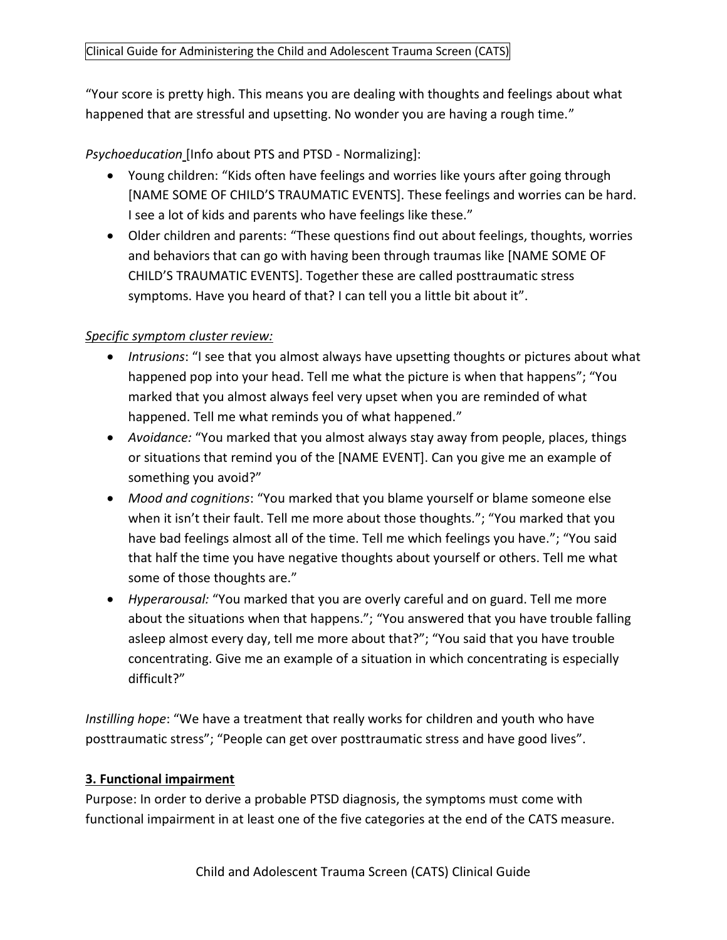"Your score is pretty high. This means you are dealing with thoughts and feelings about what happened that are stressful and upsetting. No wonder you are having a rough time."

*Psychoeducation* [Info about PTS and PTSD - Normalizing]:

- Young children: "Kids often have feelings and worries like yours after going through [NAME SOME OF CHILD'S TRAUMATIC EVENTS]. These feelings and worries can be hard. I see a lot of kids and parents who have feelings like these."
- Older children and parents: "These questions find out about feelings, thoughts, worries and behaviors that can go with having been through traumas like [NAME SOME OF CHILD'S TRAUMATIC EVENTS]. Together these are called posttraumatic stress symptoms. Have you heard of that? I can tell you a little bit about it".

## *Specific symptom cluster review:*

- *Intrusions*: "I see that you almost always have upsetting thoughts or pictures about what happened pop into your head. Tell me what the picture is when that happens"; "You marked that you almost always feel very upset when you are reminded of what happened. Tell me what reminds you of what happened."
- *Avoidance:* "You marked that you almost always stay away from people, places, things or situations that remind you of the [NAME EVENT]. Can you give me an example of something you avoid?"
- *Mood and cognitions*: "You marked that you blame yourself or blame someone else when it isn't their fault. Tell me more about those thoughts."; "You marked that you have bad feelings almost all of the time. Tell me which feelings you have."; "You said that half the time you have negative thoughts about yourself or others. Tell me what some of those thoughts are."
- *Hyperarousal:* "You marked that you are overly careful and on guard. Tell me more about the situations when that happens."; "You answered that you have trouble falling asleep almost every day, tell me more about that?"; "You said that you have trouble concentrating. Give me an example of a situation in which concentrating is especially difficult?"

*Instilling hope*: "We have a treatment that really works for children and youth who have posttraumatic stress"; "People can get over posttraumatic stress and have good lives".

### **3. Functional impairment**

Purpose: In order to derive a probable PTSD diagnosis, the symptoms must come with functional impairment in at least one of the five categories at the end of the CATS measure.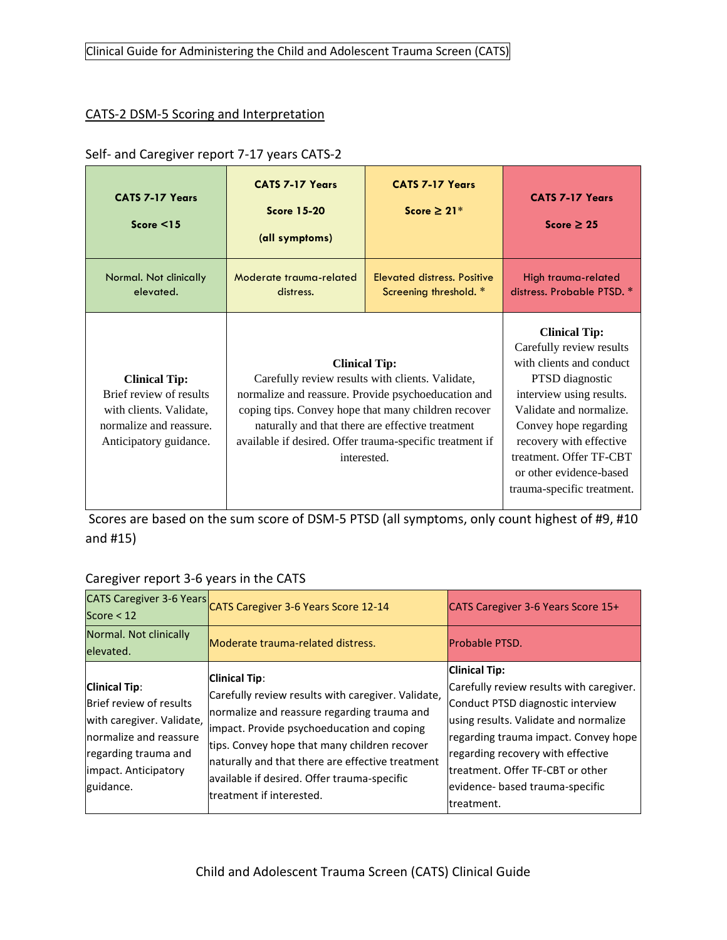### Clinical Guide for Administering the Child and Adolescent Trauma Screen (CATS)

#### CATS-2 DSM-5 Scoring and Interpretation

#### Self- and Caregiver report 7-17 years CATS-2

| <b>CATS 7-17 Years</b><br>Score $\leq$ 15                                                                                       | <b>CATS 7-17 Years</b><br><b>Score 15-20</b><br>(all symptoms)                                                                                                                                                                                                                                                        | <b>CATS 7-17 Years</b><br>Score $\geq 21^*$                  | <b>CATS 7-17 Years</b><br>Score $\geq 25$                                                                                                                                                                                                                                                      |
|---------------------------------------------------------------------------------------------------------------------------------|-----------------------------------------------------------------------------------------------------------------------------------------------------------------------------------------------------------------------------------------------------------------------------------------------------------------------|--------------------------------------------------------------|------------------------------------------------------------------------------------------------------------------------------------------------------------------------------------------------------------------------------------------------------------------------------------------------|
| Normal. Not clinically<br>elevated.                                                                                             | Moderate trauma-related<br>distress.                                                                                                                                                                                                                                                                                  | <b>Elevated distress. Positive</b><br>Screening threshold. * | High trauma-related<br>distress. Probable PTSD. *                                                                                                                                                                                                                                              |
| <b>Clinical Tip:</b><br>Brief review of results<br>with clients. Validate,<br>normalize and reassure.<br>Anticipatory guidance. | <b>Clinical Tip:</b><br>Carefully review results with clients. Validate,<br>normalize and reassure. Provide psychoeducation and<br>coping tips. Convey hope that many children recover<br>naturally and that there are effective treatment<br>available if desired. Offer trauma-specific treatment if<br>interested. |                                                              | <b>Clinical Tip:</b><br>Carefully review results<br>with clients and conduct<br>PTSD diagnostic<br>interview using results.<br>Validate and normalize.<br>Convey hope regarding<br>recovery with effective<br>treatment. Offer TF-CBT<br>or other evidence-based<br>trauma-specific treatment. |

Scores are based on the sum score of DSM-5 PTSD (all symptoms, only count highest of #9, #10 and #15)

### Caregiver report 3-6 years in the CATS

| <b>CATS Caregiver 3-6 Years</b><br>Score $<$ 12                                                                                                                      | CATS Caregiver 3-6 Years Score 12-14                                                                                                                                                                                                                                                                                                                   | CATS Caregiver 3-6 Years Score 15+                                                                                                                                                                                                                                                                                |
|----------------------------------------------------------------------------------------------------------------------------------------------------------------------|--------------------------------------------------------------------------------------------------------------------------------------------------------------------------------------------------------------------------------------------------------------------------------------------------------------------------------------------------------|-------------------------------------------------------------------------------------------------------------------------------------------------------------------------------------------------------------------------------------------------------------------------------------------------------------------|
| Normal. Not clinically<br>elevated.                                                                                                                                  | Moderate trauma-related distress.                                                                                                                                                                                                                                                                                                                      | <b>Probable PTSD.</b>                                                                                                                                                                                                                                                                                             |
| <b>Clinical Tip:</b><br>Brief review of results<br>with caregiver. Validate,<br>Inormalize and reassure<br>regarding trauma and<br>impact. Anticipatory<br>guidance. | <b>Clinical Tip:</b><br>Carefully review results with caregiver. Validate,<br>normalize and reassure regarding trauma and<br>impact. Provide psychoeducation and coping<br>tips. Convey hope that many children recover<br>naturally and that there are effective treatment<br>available if desired. Offer trauma-specific<br>treatment if interested. | <b>Clinical Tip:</b><br>Carefully review results with caregiver.<br>Conduct PTSD diagnostic interview<br>using results. Validate and normalize<br>regarding trauma impact. Convey hope<br>regarding recovery with effective<br>ltreatment. Offer TF-CBT or other<br>evidence- based trauma-specific<br>treatment. |